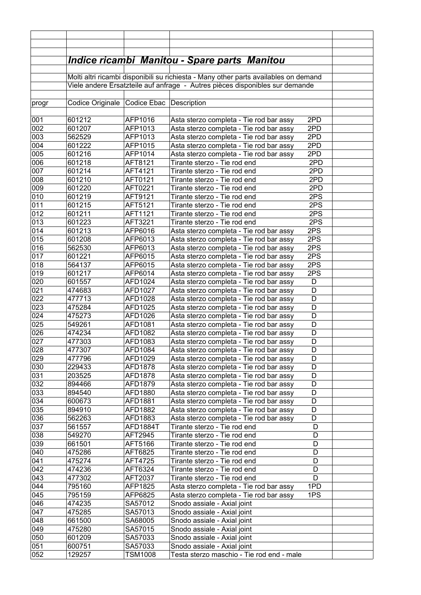|            |                  |                           | <b>Indice ricambi Manitou - Spare parts Manitou</b>                                  |            |  |
|------------|------------------|---------------------------|--------------------------------------------------------------------------------------|------------|--|
|            |                  |                           |                                                                                      |            |  |
|            |                  |                           | Molti altri ricambi disponibili su richiesta - Many other parts availables on demand |            |  |
|            |                  |                           | Viele andere Ersatzteile auf anfrage - Autres pièces disponibles sur demande         |            |  |
|            |                  |                           |                                                                                      |            |  |
| progr      | Codice Originale | Codice Ebac   Description |                                                                                      |            |  |
| 001        | 601212           | AFP1016                   | Asta sterzo completa - Tie rod bar assy                                              | 2PD        |  |
| 002        | 601207           | AFP1013                   | Asta sterzo completa - Tie rod bar assy                                              | 2PD        |  |
| 003        | 562529           | AFP1013                   | Asta sterzo completa - Tie rod bar assy                                              | 2PD        |  |
| 004        | 601222           | AFP1015                   | Asta sterzo completa - Tie rod bar assy                                              | 2PD        |  |
| 005        | 601216           | AFP1014                   | Asta sterzo completa - Tie rod bar assy                                              | 2PD        |  |
| 006        | 601218           | AFT8121                   | Tirante sterzo - Tie rod end                                                         | 2PD        |  |
| 007        | 601214           | AFT4121                   | Tirante sterzo - Tie rod end                                                         | 2PD        |  |
| 008        | 601210           | AFT0121                   | Tirante sterzo - Tie rod end                                                         | 2PD        |  |
| 009        | 601220           | AFT0221                   | Tirante sterzo - Tie rod end                                                         | 2PD        |  |
| 010        | 601219           | AFT9121                   | Tirante sterzo - Tie rod end                                                         | 2PS        |  |
| 011        | 601215           | AFT5121                   | Tirante sterzo - Tie rod end                                                         | 2PS        |  |
| 012        | 601211           | AFT1121                   | Tirante sterzo - Tie rod end                                                         | 2PS        |  |
| 013        | 601223           | AFT3221                   | Tirante sterzo - Tie rod end                                                         | 2PS        |  |
| 014        | 601213           | AFP6016                   | Asta sterzo completa - Tie rod bar assy                                              | 2PS        |  |
| 015        | 601208           | AFP6013                   | Asta sterzo completa - Tie rod bar assy                                              | 2PS        |  |
| 016        | 562530           | AFP6013                   | Asta sterzo completa - Tie rod bar assy                                              | 2PS        |  |
| 017        | 601221           | AFP6015                   | Asta sterzo completa - Tie rod bar assy                                              | 2PS<br>2PS |  |
| 018<br>019 | 564137<br>601217 | AFP6015<br>AFP6014        | Asta sterzo completa - Tie rod bar assy<br>Asta sterzo completa - Tie rod bar assy   | 2PS        |  |
| 020        | 601557           | AFD1024                   | Asta sterzo completa - Tie rod bar assy                                              | D          |  |
| 021        | 474683           | AFD1027                   | Asta sterzo completa - Tie rod bar assy                                              | D          |  |
| 022        | 477713           | AFD1028                   | Asta sterzo completa - Tie rod bar assy                                              | D          |  |
| 023        | 475284           | AFD1025                   | Asta sterzo completa - Tie rod bar assy                                              | D          |  |
| 024        | 475273           | AFD1026                   | Asta sterzo completa - Tie rod bar assy                                              | D          |  |
| 025        | 549261           | AFD1081                   | Asta sterzo completa - Tie rod bar assy                                              | D          |  |
| 026        | 474234           | AFD1082                   | Asta sterzo completa - Tie rod bar assy                                              | D          |  |
| 027        | 477303           | AFD1083                   | Asta sterzo completa - Tie rod bar assy                                              | D          |  |
| 028        | 477307           | AFD1084                   | Asta sterzo completa - Tie rod bar assy                                              | D          |  |
| 029        | 477796           | AFD1029                   | Asta sterzo completa - Tie rod bar assy                                              | D          |  |
| 030        | 229433           | AFD1878                   | Asta sterzo completa - Tie rod bar assy                                              | D          |  |
| 031        | 203525           | AFD1878                   | Asta sterzo completa - Tie rod bar assy                                              | D          |  |
| 032        | 894466           | AFD1879                   | Asta sterzo completa - Tie rod bar assy                                              | D          |  |
| 033        | 894540           | AFD1880                   | Asta sterzo completa - Tie rod bar assy                                              | D          |  |
| 034        | 600673           | AFD1881                   | Asta sterzo completa - Tie rod bar assy                                              | D          |  |
| 035        | 894910           | AFD1882                   | Asta sterzo completa - Tie rod bar assy                                              | D          |  |
| 036        | 562263           | AFD1883                   | Asta sterzo completa - Tie rod bar assy                                              | D          |  |
| 037<br>038 | 561557<br>549270 | AFD1884T<br>AFT2945       | Tirante sterzo - Tie rod end<br>Tirante sterzo - Tie rod end                         | D<br>D     |  |
| 039        | 661501           | AFT5166                   | Tirante sterzo - Tie rod end                                                         | D          |  |
| 040        | 475286           | AFT6825                   | Tirante sterzo - Tie rod end                                                         | D          |  |
| 041        | 475274           | AFT4725                   | Tirante sterzo - Tie rod end                                                         | D          |  |
| 042        | 474236           | AFT6324                   | Tirante sterzo - Tie rod end                                                         | D          |  |
| 043        | 477302           | AFT2037                   | Tirante sterzo - Tie rod end                                                         | D          |  |
| 044        | 795160           | AFP1825                   | Asta sterzo completa - Tie rod bar assy                                              | 1PD        |  |
| 045        | 795159           | AFP6825                   | Asta sterzo completa - Tie rod bar assy                                              | 1PS        |  |
| 046        | 474235           | SA57012                   | Snodo assiale - Axial joint                                                          |            |  |
| 047        | 475285           | SA57013                   | Snodo assiale - Axial joint                                                          |            |  |
| 048        | 661500           | SA68005                   | Snodo assiale - Axial joint                                                          |            |  |
| 049        | 475280           | SA57015                   | Snodo assiale - Axial joint                                                          |            |  |
| 050        | 601209           | SA57033                   | Snodo assiale - Axial joint                                                          |            |  |
| 051        | 600751           | SA57033                   | Snodo assiale - Axial joint                                                          |            |  |
| 052        | 129257           | <b>TSM1008</b>            | Testa sterzo maschio - Tie rod end - male                                            |            |  |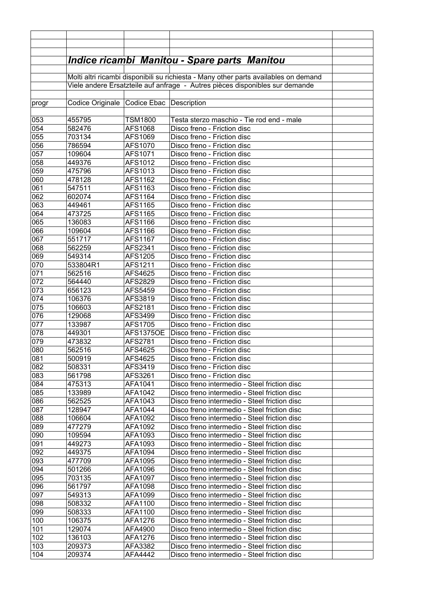|            |                                          |                    | <u> Indice ricambi Manitou - Spare parts Manitou</u>                                 |  |
|------------|------------------------------------------|--------------------|--------------------------------------------------------------------------------------|--|
|            |                                          |                    |                                                                                      |  |
|            |                                          |                    | Molti altri ricambi disponibili su richiesta - Many other parts availables on demand |  |
|            |                                          |                    | Viele andere Ersatzteile auf anfrage - Autres pièces disponibles sur demande         |  |
|            |                                          |                    |                                                                                      |  |
| progr      | Codice Originale Codice Ebac Description |                    |                                                                                      |  |
|            |                                          |                    |                                                                                      |  |
| 053        | 455795                                   | <b>TSM1800</b>     | Testa sterzo maschio - Tie rod end - male                                            |  |
| 054        | 582476                                   | AFS1068            | Disco freno - Friction disc                                                          |  |
| 055        | 703134                                   | AFS1069            | Disco freno - Friction disc                                                          |  |
| 056        | 786594                                   | AFS1070            | Disco freno - Friction disc                                                          |  |
| 057        | 109604                                   | AFS1071            | Disco freno - Friction disc                                                          |  |
| 058        | 449376                                   | AFS1012            | Disco freno - Friction disc                                                          |  |
| 059        | 475796                                   | AFS1013            | Disco freno - Friction disc                                                          |  |
| 060        | 478128                                   | AFS1162            | Disco freno - Friction disc                                                          |  |
| 061        | 547511                                   | AFS1163            | Disco freno - Friction disc                                                          |  |
| 062        | 602074                                   | AFS1164            | Disco freno - Friction disc                                                          |  |
| 063        | 449461                                   | AFS1165            | Disco freno - Friction disc                                                          |  |
| 064        | 473725                                   | AFS1165            | Disco freno - Friction disc                                                          |  |
| 065        | 136083                                   | AFS1166            | Disco freno - Friction disc                                                          |  |
| 066        | 109604                                   | AFS1166            | Disco freno - Friction disc                                                          |  |
| 067        | 551717                                   | AFS1167            | Disco freno - Friction disc                                                          |  |
| 068        | 562259                                   | AFS2341            | Disco freno - Friction disc                                                          |  |
| 069        | 549314                                   | AFS1205            | Disco freno - Friction disc                                                          |  |
| 070        | 533804R1                                 | AFS1211            | Disco freno - Friction disc                                                          |  |
| 071        | 562516                                   | AFS4625            | Disco freno - Friction disc                                                          |  |
| 072        | 564440                                   | AFS2829            | Disco freno - Friction disc                                                          |  |
| 073        | 656123                                   | AFS5459            | Disco freno - Friction disc                                                          |  |
| 074        | 106376                                   | AFS3819            | Disco freno - Friction disc                                                          |  |
| 075        | 106603                                   | AFS2181            | Disco freno - Friction disc                                                          |  |
| 076        | 129068                                   | AFS3499            | Disco freno - Friction disc                                                          |  |
| 077        | 133987                                   | AFS1705            | Disco freno - Friction disc                                                          |  |
| 078        | 449301                                   | <b>AFS1375OE</b>   | Disco freno - Friction disc                                                          |  |
| 079        | 473832                                   | AFS2781            | Disco freno - Friction disc                                                          |  |
| 080        | 562516                                   | AFS4625            | Disco freno - Friction disc                                                          |  |
| 081        | 500919                                   | AFS4625            | Disco freno - Friction disc<br>Disco freno - Friction disc                           |  |
| 082<br>083 | 508331<br>561798                         | AFS3419<br>AFS3261 | Disco freno - Friction disc                                                          |  |
| 084        | 475313                                   | AFA1041            | Disco freno intermedio - Steel friction disc                                         |  |
| 085        | 133989                                   | AFA1042            | Disco freno intermedio - Steel friction disc                                         |  |
| 086        | 562525                                   | AFA1043            | Disco freno intermedio - Steel friction disc                                         |  |
| 087        | 128947                                   | AFA1044            | Disco freno intermedio - Steel friction disc                                         |  |
| 088        | 106604                                   | AFA1092            | Disco freno intermedio - Steel friction disc                                         |  |
| 089        | 477279                                   | AFA1092            | Disco freno intermedio - Steel friction disc                                         |  |
| 090        | 109594                                   | AFA1093            | Disco freno intermedio - Steel friction disc                                         |  |
| 091        | 449273                                   | AFA1093            | Disco freno intermedio - Steel friction disc                                         |  |
| 092        | 449375                                   | AFA1094            | Disco freno intermedio - Steel friction disc                                         |  |
| 093        | 477709                                   | AFA1095            | Disco freno intermedio - Steel friction disc                                         |  |
| 094        | 501266                                   | AFA1096            | Disco freno intermedio - Steel friction disc                                         |  |
| 095        | 703135                                   | AFA1097            | Disco freno intermedio - Steel friction disc                                         |  |
| 096        | 561797                                   | AFA1098            | Disco freno intermedio - Steel friction disc                                         |  |
| 097        | 549313                                   | AFA1099            | Disco freno intermedio - Steel friction disc                                         |  |
| 098        | 508332                                   | AFA1100            | Disco freno intermedio - Steel friction disc                                         |  |
| 099        | 508333                                   | AFA1100            | Disco freno intermedio - Steel friction disc                                         |  |
| 100        | 106375                                   | AFA1276            | Disco freno intermedio - Steel friction disc                                         |  |
| 101        | 129074                                   | AFA4900            | Disco freno intermedio - Steel friction disc                                         |  |
| 102        | 136103                                   | AFA1276            | Disco freno intermedio - Steel friction disc                                         |  |
| 103        | 209373                                   | AFA3382            | Disco freno intermedio - Steel friction disc                                         |  |
| 104        | 209374                                   | AFA4442            | Disco freno intermedio - Steel friction disc                                         |  |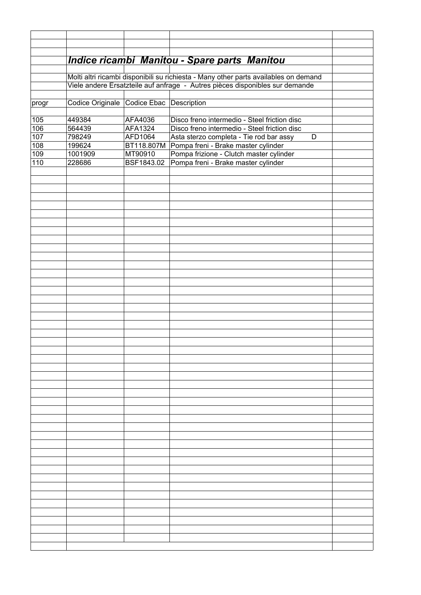| Indice ricambi Manitou - Spare parts Manitou<br>Molti altri ricambi disponibili su richiesta - Many other parts availables on demand<br>Viele andere Ersatzteile auf anfrage - Autres pièces disponibles sur demande<br>Codice Originale Codice Ebac Description<br>progr<br>AFA4036<br>Disco freno intermedio - Steel friction disc<br>105<br>449384<br>106<br>AFA1324<br>Disco freno intermedio - Steel friction disc<br>564439<br>107<br>798249<br>AFD1064<br>Asta sterzo completa - Tie rod bar assy<br>D<br>108<br>199624<br>BT118.807M Pompa freni - Brake master cylinder<br>109<br>1001909<br>MT90910<br>Pompa frizione - Clutch master cylinder<br>110<br>Pompa freni - Brake master cylinder<br>228686<br>BSF1843.02 |  |  |  |  |  |
|--------------------------------------------------------------------------------------------------------------------------------------------------------------------------------------------------------------------------------------------------------------------------------------------------------------------------------------------------------------------------------------------------------------------------------------------------------------------------------------------------------------------------------------------------------------------------------------------------------------------------------------------------------------------------------------------------------------------------------|--|--|--|--|--|
|                                                                                                                                                                                                                                                                                                                                                                                                                                                                                                                                                                                                                                                                                                                                |  |  |  |  |  |
|                                                                                                                                                                                                                                                                                                                                                                                                                                                                                                                                                                                                                                                                                                                                |  |  |  |  |  |
|                                                                                                                                                                                                                                                                                                                                                                                                                                                                                                                                                                                                                                                                                                                                |  |  |  |  |  |
|                                                                                                                                                                                                                                                                                                                                                                                                                                                                                                                                                                                                                                                                                                                                |  |  |  |  |  |
|                                                                                                                                                                                                                                                                                                                                                                                                                                                                                                                                                                                                                                                                                                                                |  |  |  |  |  |
|                                                                                                                                                                                                                                                                                                                                                                                                                                                                                                                                                                                                                                                                                                                                |  |  |  |  |  |
|                                                                                                                                                                                                                                                                                                                                                                                                                                                                                                                                                                                                                                                                                                                                |  |  |  |  |  |
|                                                                                                                                                                                                                                                                                                                                                                                                                                                                                                                                                                                                                                                                                                                                |  |  |  |  |  |
|                                                                                                                                                                                                                                                                                                                                                                                                                                                                                                                                                                                                                                                                                                                                |  |  |  |  |  |
|                                                                                                                                                                                                                                                                                                                                                                                                                                                                                                                                                                                                                                                                                                                                |  |  |  |  |  |
|                                                                                                                                                                                                                                                                                                                                                                                                                                                                                                                                                                                                                                                                                                                                |  |  |  |  |  |
|                                                                                                                                                                                                                                                                                                                                                                                                                                                                                                                                                                                                                                                                                                                                |  |  |  |  |  |
|                                                                                                                                                                                                                                                                                                                                                                                                                                                                                                                                                                                                                                                                                                                                |  |  |  |  |  |
|                                                                                                                                                                                                                                                                                                                                                                                                                                                                                                                                                                                                                                                                                                                                |  |  |  |  |  |
|                                                                                                                                                                                                                                                                                                                                                                                                                                                                                                                                                                                                                                                                                                                                |  |  |  |  |  |
|                                                                                                                                                                                                                                                                                                                                                                                                                                                                                                                                                                                                                                                                                                                                |  |  |  |  |  |
|                                                                                                                                                                                                                                                                                                                                                                                                                                                                                                                                                                                                                                                                                                                                |  |  |  |  |  |
|                                                                                                                                                                                                                                                                                                                                                                                                                                                                                                                                                                                                                                                                                                                                |  |  |  |  |  |
|                                                                                                                                                                                                                                                                                                                                                                                                                                                                                                                                                                                                                                                                                                                                |  |  |  |  |  |
|                                                                                                                                                                                                                                                                                                                                                                                                                                                                                                                                                                                                                                                                                                                                |  |  |  |  |  |
|                                                                                                                                                                                                                                                                                                                                                                                                                                                                                                                                                                                                                                                                                                                                |  |  |  |  |  |
|                                                                                                                                                                                                                                                                                                                                                                                                                                                                                                                                                                                                                                                                                                                                |  |  |  |  |  |
|                                                                                                                                                                                                                                                                                                                                                                                                                                                                                                                                                                                                                                                                                                                                |  |  |  |  |  |
|                                                                                                                                                                                                                                                                                                                                                                                                                                                                                                                                                                                                                                                                                                                                |  |  |  |  |  |
|                                                                                                                                                                                                                                                                                                                                                                                                                                                                                                                                                                                                                                                                                                                                |  |  |  |  |  |
|                                                                                                                                                                                                                                                                                                                                                                                                                                                                                                                                                                                                                                                                                                                                |  |  |  |  |  |
|                                                                                                                                                                                                                                                                                                                                                                                                                                                                                                                                                                                                                                                                                                                                |  |  |  |  |  |
|                                                                                                                                                                                                                                                                                                                                                                                                                                                                                                                                                                                                                                                                                                                                |  |  |  |  |  |
|                                                                                                                                                                                                                                                                                                                                                                                                                                                                                                                                                                                                                                                                                                                                |  |  |  |  |  |
|                                                                                                                                                                                                                                                                                                                                                                                                                                                                                                                                                                                                                                                                                                                                |  |  |  |  |  |
|                                                                                                                                                                                                                                                                                                                                                                                                                                                                                                                                                                                                                                                                                                                                |  |  |  |  |  |
|                                                                                                                                                                                                                                                                                                                                                                                                                                                                                                                                                                                                                                                                                                                                |  |  |  |  |  |
|                                                                                                                                                                                                                                                                                                                                                                                                                                                                                                                                                                                                                                                                                                                                |  |  |  |  |  |
|                                                                                                                                                                                                                                                                                                                                                                                                                                                                                                                                                                                                                                                                                                                                |  |  |  |  |  |
|                                                                                                                                                                                                                                                                                                                                                                                                                                                                                                                                                                                                                                                                                                                                |  |  |  |  |  |
|                                                                                                                                                                                                                                                                                                                                                                                                                                                                                                                                                                                                                                                                                                                                |  |  |  |  |  |
|                                                                                                                                                                                                                                                                                                                                                                                                                                                                                                                                                                                                                                                                                                                                |  |  |  |  |  |
|                                                                                                                                                                                                                                                                                                                                                                                                                                                                                                                                                                                                                                                                                                                                |  |  |  |  |  |
|                                                                                                                                                                                                                                                                                                                                                                                                                                                                                                                                                                                                                                                                                                                                |  |  |  |  |  |
|                                                                                                                                                                                                                                                                                                                                                                                                                                                                                                                                                                                                                                                                                                                                |  |  |  |  |  |
|                                                                                                                                                                                                                                                                                                                                                                                                                                                                                                                                                                                                                                                                                                                                |  |  |  |  |  |
|                                                                                                                                                                                                                                                                                                                                                                                                                                                                                                                                                                                                                                                                                                                                |  |  |  |  |  |
|                                                                                                                                                                                                                                                                                                                                                                                                                                                                                                                                                                                                                                                                                                                                |  |  |  |  |  |
|                                                                                                                                                                                                                                                                                                                                                                                                                                                                                                                                                                                                                                                                                                                                |  |  |  |  |  |
|                                                                                                                                                                                                                                                                                                                                                                                                                                                                                                                                                                                                                                                                                                                                |  |  |  |  |  |
|                                                                                                                                                                                                                                                                                                                                                                                                                                                                                                                                                                                                                                                                                                                                |  |  |  |  |  |
|                                                                                                                                                                                                                                                                                                                                                                                                                                                                                                                                                                                                                                                                                                                                |  |  |  |  |  |
|                                                                                                                                                                                                                                                                                                                                                                                                                                                                                                                                                                                                                                                                                                                                |  |  |  |  |  |
|                                                                                                                                                                                                                                                                                                                                                                                                                                                                                                                                                                                                                                                                                                                                |  |  |  |  |  |
|                                                                                                                                                                                                                                                                                                                                                                                                                                                                                                                                                                                                                                                                                                                                |  |  |  |  |  |
|                                                                                                                                                                                                                                                                                                                                                                                                                                                                                                                                                                                                                                                                                                                                |  |  |  |  |  |
|                                                                                                                                                                                                                                                                                                                                                                                                                                                                                                                                                                                                                                                                                                                                |  |  |  |  |  |
|                                                                                                                                                                                                                                                                                                                                                                                                                                                                                                                                                                                                                                                                                                                                |  |  |  |  |  |
|                                                                                                                                                                                                                                                                                                                                                                                                                                                                                                                                                                                                                                                                                                                                |  |  |  |  |  |
|                                                                                                                                                                                                                                                                                                                                                                                                                                                                                                                                                                                                                                                                                                                                |  |  |  |  |  |
|                                                                                                                                                                                                                                                                                                                                                                                                                                                                                                                                                                                                                                                                                                                                |  |  |  |  |  |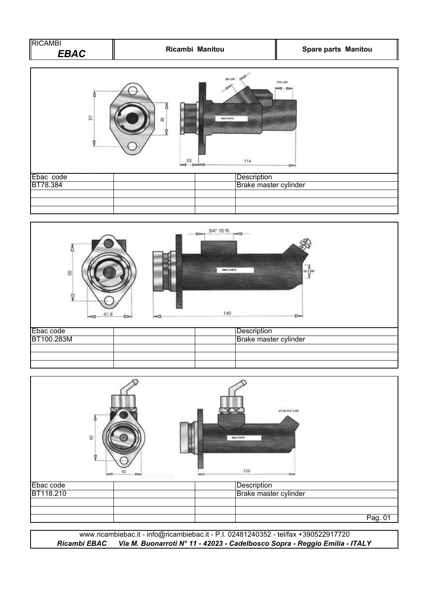| <b>RICAMBI</b> |                 |                            |
|----------------|-----------------|----------------------------|
| ER A C         | Ricambi Manitou | <b>Spare parts Manitou</b> |





| $\Xi$     | N'3H 7H6" X 20F<br><b>ERAC PARTS</b><br>125<br>∼ |
|-----------|--------------------------------------------------|
| Ebac code | Description                                      |
| BT118.210 | Brake master cylinder                            |
|           |                                                  |
|           | Pag. 01                                          |

*Ricambi EBAC Via M. Buonarroti N° 11 - 42023 - Cadelbosco Sopra - Reggio Emilia - ITALY* www.ricambiebac.it - info@ricambiebac.it - P.I. 02481240352 - tel/fax +390522917720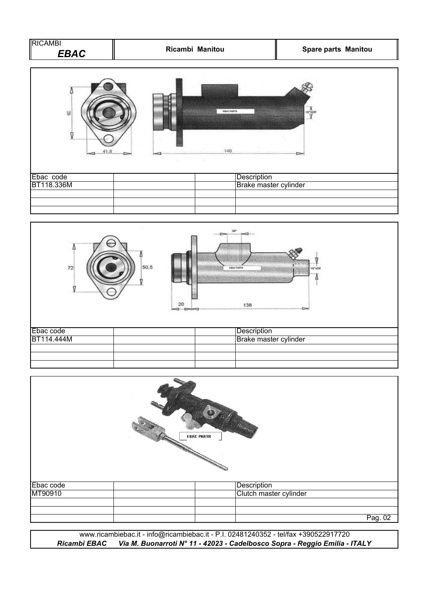| <b>RICAMBI</b><br><b>EBAC</b> | Ricambi Manitou                      | Spare parts Manitou |  |
|-------------------------------|--------------------------------------|---------------------|--|
| 8                             | <b>EBAC PARTS</b><br>140             | 4.127200            |  |
| Ebac code<br>BT118.336M       | Description<br>Brake master cylinder |                     |  |
|                               |                                      |                     |  |



|           | <b>CONTRACTOR</b><br><b>EBAC PARTS</b> |         |
|-----------|----------------------------------------|---------|
| Ebac code | Description                            |         |
| MT90910   | Clutch master cylinder                 |         |
|           |                                        |         |
|           |                                        |         |
|           |                                        | Pag. 02 |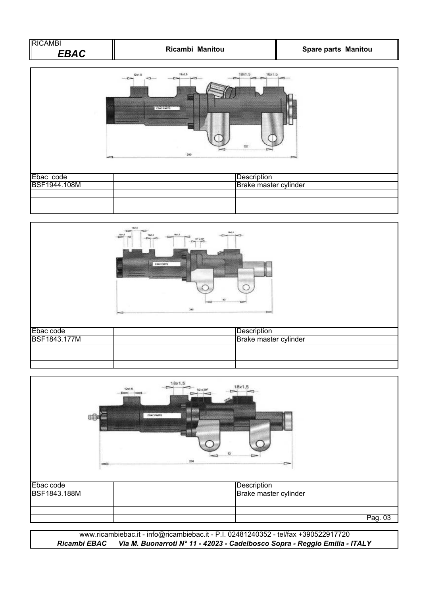| RICAMBI |                 |                            |
|---------|-----------------|----------------------------|
| EBAC    | Ricambi Manitou | <b>Spare parts Manitou</b> |





| 瞙                         | 12x1.5<br>▱ | 18x1,5<br>$\overline{\phantom{a}}$<br>$1/2 \times 20$ F<br><b>EBAC PARTS</b><br>290 | 18x1,5<br>$-$<br>$\equiv$            |         |
|---------------------------|-------------|-------------------------------------------------------------------------------------|--------------------------------------|---------|
| Ebac code<br>BSF1843.188M |             |                                                                                     | Description<br>Brake master cylinder |         |
|                           |             |                                                                                     |                                      |         |
|                           |             |                                                                                     |                                      | Pag. 03 |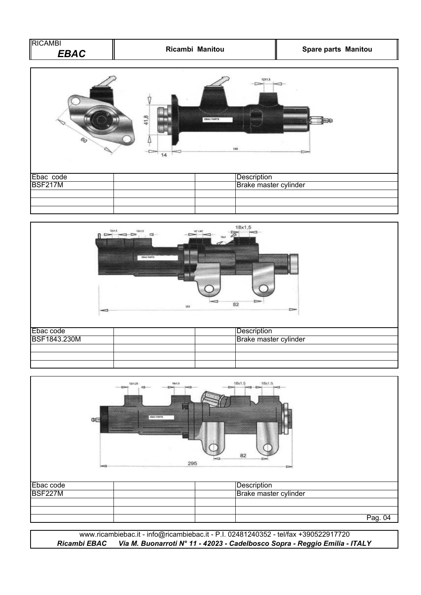| RICAMBI<br><b>EBAC</b> |            | Ricambi Manitou             | <b>Spare parts Manitou</b> |
|------------------------|------------|-----------------------------|----------------------------|
| 6 <sub>O</sub>         | 41,8<br>14 | 1201.5<br>EBAC PARTS<br>145 |                            |
| Ebac code              |            | Description                 |                            |
| <b>BSF217M</b>         |            |                             | Brake master cylinder      |
|                        |            |                             |                            |



|                | 12d 29<br>Ð<br>Œ | 1841,5<br><b>ERAC PARTS</b><br>295 | 18x1.5<br>18x1.5<br>$= -5$<br>-<br>82<br>$\equiv$ |         |
|----------------|------------------|------------------------------------|---------------------------------------------------|---------|
| Ebac code      |                  |                                    | Description                                       |         |
| <b>BSF227M</b> |                  |                                    | Brake master cylinder                             |         |
|                |                  |                                    |                                                   |         |
|                |                  |                                    |                                                   |         |
|                |                  |                                    |                                                   | Pag. 04 |